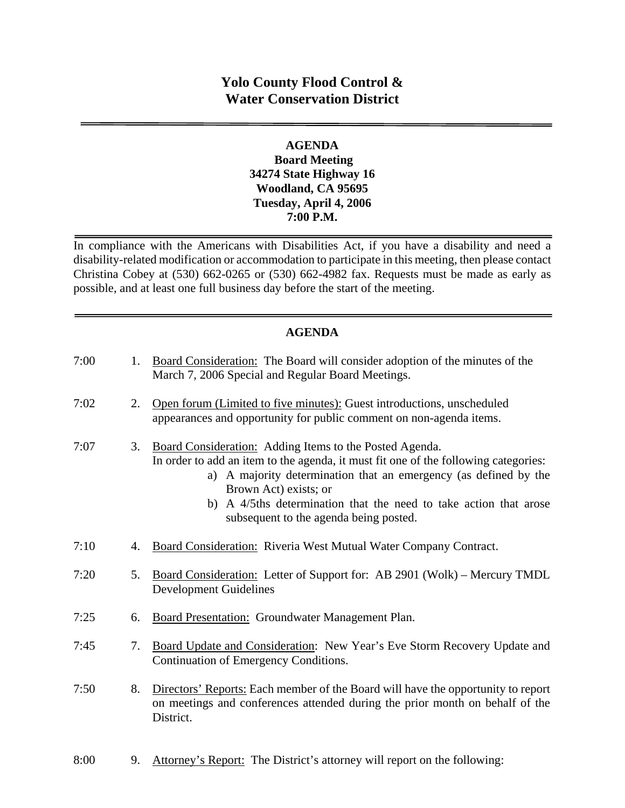# **Yolo County Flood Control & Water Conservation District**

#### **AGENDA Board Meeting 34274 State Highway 16 Woodland, CA 95695 Tuesday, April 4, 2006 7:00 P.M.**

In compliance with the Americans with Disabilities Act, if you have a disability and need a disability-related modification or accommodation to participate in this meeting, then please contact Christina Cobey at (530) 662-0265 or (530) 662-4982 fax. Requests must be made as early as possible, and at least one full business day before the start of the meeting.

#### **AGENDA**

| 7:00 | 1. | Board Consideration: The Board will consider adoption of the minutes of the<br>March 7, 2006 Special and Regular Board Meetings.                                                                                                                                                                                                                           |
|------|----|------------------------------------------------------------------------------------------------------------------------------------------------------------------------------------------------------------------------------------------------------------------------------------------------------------------------------------------------------------|
| 7:02 | 2. | Open forum (Limited to five minutes): Guest introductions, unscheduled<br>appearances and opportunity for public comment on non-agenda items.                                                                                                                                                                                                              |
| 7:07 | 3. | Board Consideration: Adding Items to the Posted Agenda.<br>In order to add an item to the agenda, it must fit one of the following categories:<br>a) A majority determination that an emergency (as defined by the<br>Brown Act) exists; or<br>b) A 4/5ths determination that the need to take action that arose<br>subsequent to the agenda being posted. |
| 7:10 | 4. | Board Consideration: Riveria West Mutual Water Company Contract.                                                                                                                                                                                                                                                                                           |
| 7:20 | 5. | Board Consideration: Letter of Support for: AB 2901 (Wolk) - Mercury TMDL<br><b>Development Guidelines</b>                                                                                                                                                                                                                                                 |
| 7:25 | 6. | <b>Board Presentation:</b> Groundwater Management Plan.                                                                                                                                                                                                                                                                                                    |
| 7:45 | 7. | Board Update and Consideration: New Year's Eve Storm Recovery Update and<br>Continuation of Emergency Conditions.                                                                                                                                                                                                                                          |
| 7:50 | 8. | Directors' Reports: Each member of the Board will have the opportunity to report<br>on meetings and conferences attended during the prior month on behalf of the<br>District.                                                                                                                                                                              |

8:00 9. Attorney's Report: The District's attorney will report on the following: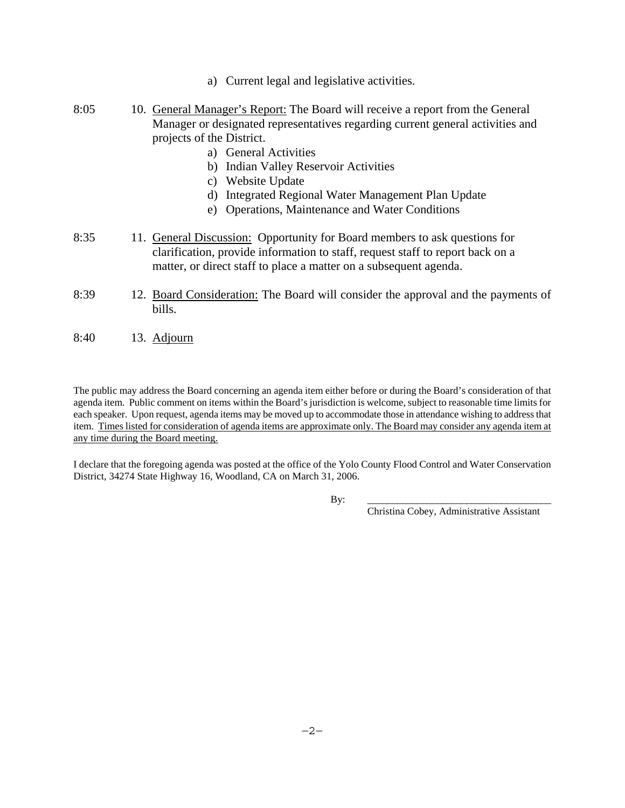- a) Current legal and legislative activities.
- 8:05 10. General Manager's Report: The Board will receive a report from the General Manager or designated representatives regarding current general activities and projects of the District.
	- a) General Activities
	- b) Indian Valley Reservoir Activities
	- c) Website Update
	- d) Integrated Regional Water Management Plan Update
	- e) Operations, Maintenance and Water Conditions
- 8:35 11. General Discussion: Opportunity for Board members to ask questions for clarification, provide information to staff, request staff to report back on a matter, or direct staff to place a matter on a subsequent agenda.
- 8:39 12. Board Consideration: The Board will consider the approval and the payments of bills.
- 8:40 13. Adjourn

The public may address the Board concerning an agenda item either before or during the Board's consideration of that agenda item. Public comment on items within the Board's jurisdiction is welcome, subject to reasonable time limits for each speaker. Upon request, agenda items may be moved up to accommodate those in attendance wishing to address that item. Times listed for consideration of agenda items are approximate only. The Board may consider any agenda item at any time during the Board meeting.

I declare that the foregoing agenda was posted at the office of the Yolo County Flood Control and Water Conservation District, 34274 State Highway 16, Woodland, CA on March 31, 2006.

By: \_\_\_\_\_\_\_\_\_\_\_\_\_\_\_\_\_\_\_\_\_\_\_\_\_\_\_\_\_\_\_\_\_\_\_\_\_

Christina Cobey, Administrative Assistant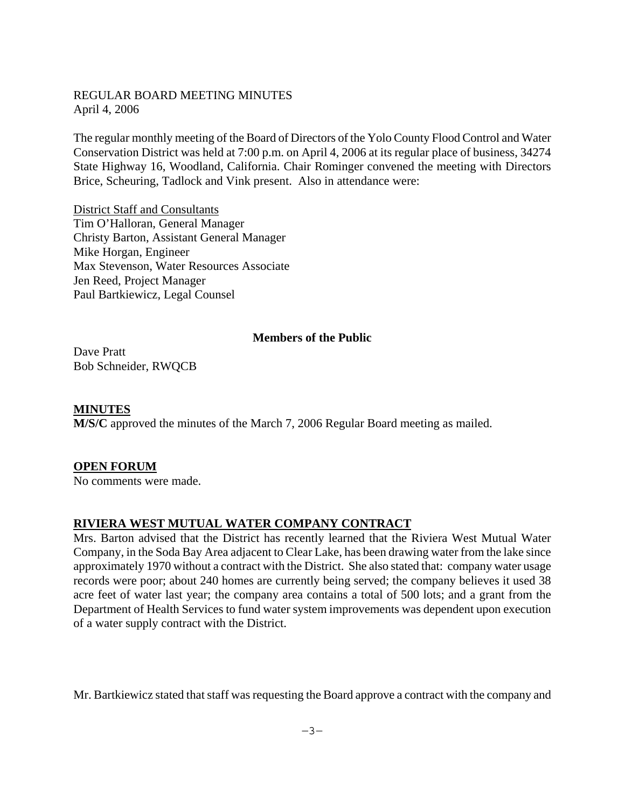#### REGULAR BOARD MEETING MINUTES April 4, 2006

The regular monthly meeting of the Board of Directors of the Yolo County Flood Control and Water Conservation District was held at 7:00 p.m. on April 4, 2006 at its regular place of business, 34274 State Highway 16, Woodland, California. Chair Rominger convened the meeting with Directors Brice, Scheuring, Tadlock and Vink present. Also in attendance were:

District Staff and Consultants Tim O'Halloran, General Manager Christy Barton, Assistant General Manager Mike Horgan, Engineer Max Stevenson, Water Resources Associate Jen Reed, Project Manager Paul Bartkiewicz, Legal Counsel

#### **Members of the Public**

Dave Pratt Bob Schneider, RWQCB

**MINUTES M/S/C** approved the minutes of the March 7, 2006 Regular Board meeting as mailed.

#### **OPEN FORUM**

No comments were made.

#### **RIVIERA WEST MUTUAL WATER COMPANY CONTRACT**

Mrs. Barton advised that the District has recently learned that the Riviera West Mutual Water Company, in the Soda Bay Area adjacent to Clear Lake, has been drawing water from the lake since approximately 1970 without a contract with the District. She also stated that: company water usage records were poor; about 240 homes are currently being served; the company believes it used 38 acre feet of water last year; the company area contains a total of 500 lots; and a grant from the Department of Health Services to fund water system improvements was dependent upon execution of a water supply contract with the District.

Mr. Bartkiewicz stated that staff was requesting the Board approve a contract with the company and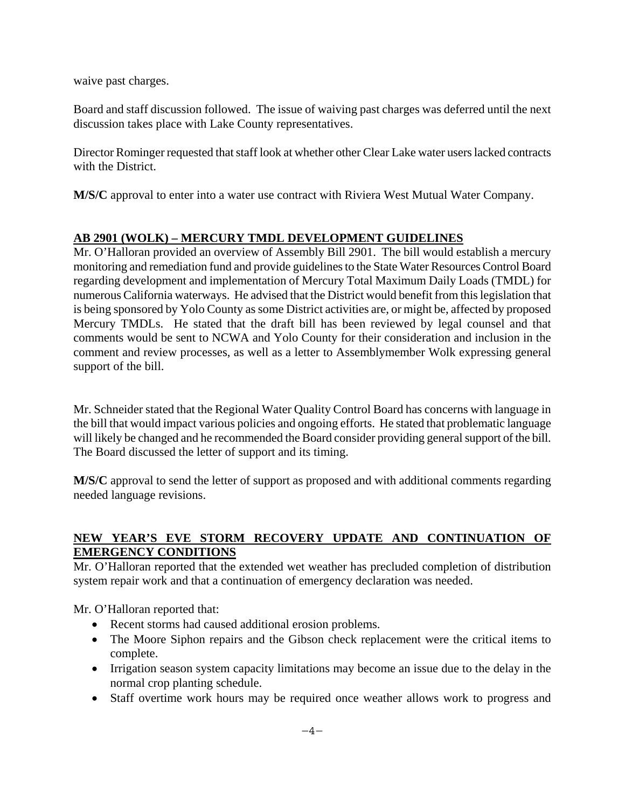waive past charges.

Board and staff discussion followed. The issue of waiving past charges was deferred until the next discussion takes place with Lake County representatives.

Director Rominger requested that staff look at whether other Clear Lake water users lacked contracts with the District.

**M/S/C** approval to enter into a water use contract with Riviera West Mutual Water Company.

## **AB 2901 (WOLK) – MERCURY TMDL DEVELOPMENT GUIDELINES**

Mr. O'Halloran provided an overview of Assembly Bill 2901. The bill would establish a mercury monitoring and remediation fund and provide guidelines to the State Water Resources Control Board regarding development and implementation of Mercury Total Maximum Daily Loads (TMDL) for numerous California waterways. He advised that the District would benefit from this legislation that is being sponsored by Yolo County as some District activities are, or might be, affected by proposed Mercury TMDLs. He stated that the draft bill has been reviewed by legal counsel and that comments would be sent to NCWA and Yolo County for their consideration and inclusion in the comment and review processes, as well as a letter to Assemblymember Wolk expressing general support of the bill.

Mr. Schneider stated that the Regional Water Quality Control Board has concerns with language in the bill that would impact various policies and ongoing efforts. He stated that problematic language will likely be changed and he recommended the Board consider providing general support of the bill. The Board discussed the letter of support and its timing.

**M/S/C** approval to send the letter of support as proposed and with additional comments regarding needed language revisions.

#### **NEW YEAR'S EVE STORM RECOVERY UPDATE AND CONTINUATION OF EMERGENCY CONDITIONS**

Mr. O'Halloran reported that the extended wet weather has precluded completion of distribution system repair work and that a continuation of emergency declaration was needed.

Mr. O'Halloran reported that:

- Recent storms had caused additional erosion problems.
- The Moore Siphon repairs and the Gibson check replacement were the critical items to complete.
- Irrigation season system capacity limitations may become an issue due to the delay in the normal crop planting schedule.
- Staff overtime work hours may be required once weather allows work to progress and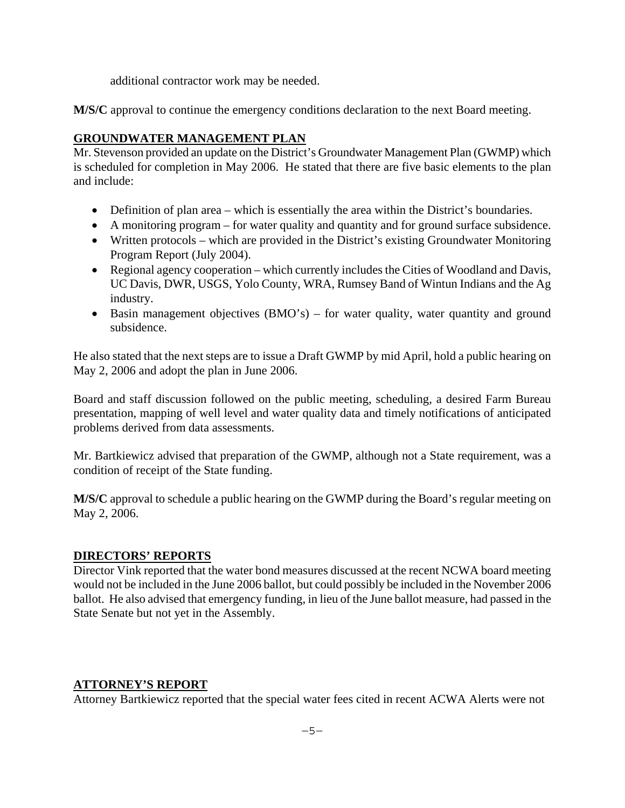additional contractor work may be needed.

**M/S/C** approval to continue the emergency conditions declaration to the next Board meeting.

## **GROUNDWATER MANAGEMENT PLAN**

Mr. Stevenson provided an update on the District's Groundwater Management Plan (GWMP) which is scheduled for completion in May 2006. He stated that there are five basic elements to the plan and include:

- Definition of plan area which is essentially the area within the District's boundaries.
- A monitoring program for water quality and quantity and for ground surface subsidence.
- Written protocols which are provided in the District's existing Groundwater Monitoring Program Report (July 2004).
- Regional agency cooperation which currently includes the Cities of Woodland and Davis, UC Davis, DWR, USGS, Yolo County, WRA, Rumsey Band of Wintun Indians and the Ag industry.
- Basin management objectives (BMO's) for water quality, water quantity and ground subsidence.

He also stated that the next steps are to issue a Draft GWMP by mid April, hold a public hearing on May 2, 2006 and adopt the plan in June 2006.

Board and staff discussion followed on the public meeting, scheduling, a desired Farm Bureau presentation, mapping of well level and water quality data and timely notifications of anticipated problems derived from data assessments.

Mr. Bartkiewicz advised that preparation of the GWMP, although not a State requirement, was a condition of receipt of the State funding.

**M/S/C** approval to schedule a public hearing on the GWMP during the Board's regular meeting on May 2, 2006.

#### **DIRECTORS' REPORTS**

Director Vink reported that the water bond measures discussed at the recent NCWA board meeting would not be included in the June 2006 ballot, but could possibly be included in the November 2006 ballot. He also advised that emergency funding, in lieu of the June ballot measure, had passed in the State Senate but not yet in the Assembly.

#### **ATTORNEY'S REPORT**

Attorney Bartkiewicz reported that the special water fees cited in recent ACWA Alerts were not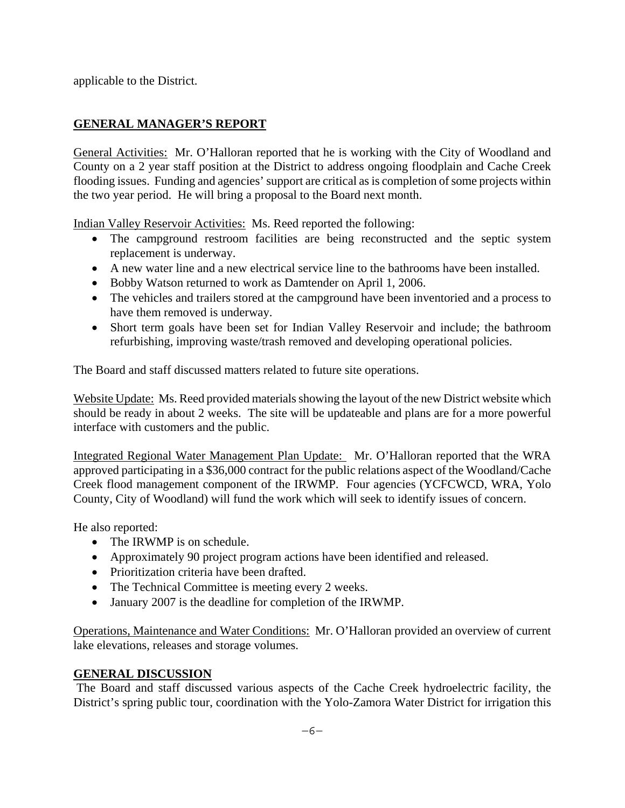applicable to the District.

# **GENERAL MANAGER'S REPORT**

General Activities: Mr. O'Halloran reported that he is working with the City of Woodland and County on a 2 year staff position at the District to address ongoing floodplain and Cache Creek flooding issues. Funding and agencies' support are critical as is completion of some projects within the two year period. He will bring a proposal to the Board next month.

Indian Valley Reservoir Activities: Ms. Reed reported the following:

- The campground restroom facilities are being reconstructed and the septic system replacement is underway.
- A new water line and a new electrical service line to the bathrooms have been installed.
- Bobby Watson returned to work as Damtender on April 1, 2006.
- The vehicles and trailers stored at the campground have been inventoried and a process to have them removed is underway.
- Short term goals have been set for Indian Valley Reservoir and include; the bathroom refurbishing, improving waste/trash removed and developing operational policies.

The Board and staff discussed matters related to future site operations.

Website Update: Ms. Reed provided materials showing the layout of the new District website which should be ready in about 2 weeks. The site will be updateable and plans are for a more powerful interface with customers and the public.

Integrated Regional Water Management Plan Update: Mr. O'Halloran reported that the WRA approved participating in a \$36,000 contract for the public relations aspect of the Woodland/Cache Creek flood management component of the IRWMP. Four agencies (YCFCWCD, WRA, Yolo County, City of Woodland) will fund the work which will seek to identify issues of concern.

He also reported:

- The IRWMP is on schedule.
- Approximately 90 project program actions have been identified and released.
- Prioritization criteria have been drafted.
- The Technical Committee is meeting every 2 weeks.
- January 2007 is the deadline for completion of the IRWMP.

Operations, Maintenance and Water Conditions: Mr. O'Halloran provided an overview of current lake elevations, releases and storage volumes.

# **GENERAL DISCUSSION**

 The Board and staff discussed various aspects of the Cache Creek hydroelectric facility, the District's spring public tour, coordination with the Yolo-Zamora Water District for irrigation this